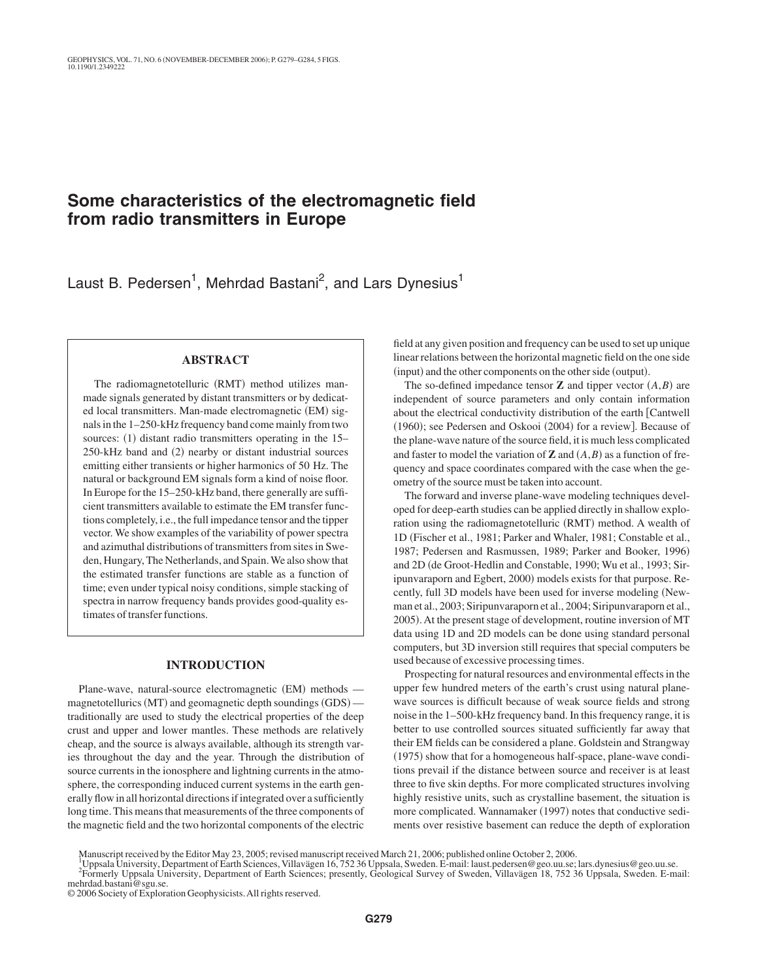# **Some characteristics of the electromagnetic field from radio transmitters in Europe**

Laust B. Pedersen<sup>1</sup>, Mehrdad Bastani<sup>2</sup>, and Lars Dynesius<sup>1</sup>

# **ABSTRACT**

The radiomagnetotelluric (RMT) method utilizes manmade signals generated by distant transmitters or by dedicated local transmitters. Man-made electromagnetic (EM) signals in the 1–250-kHz frequency band come mainly from two sources: (1) distant radio transmitters operating in the 15– 250-kHz band and (2) nearby or distant industrial sources emitting either transients or higher harmonics of 50 Hz. The natural or background EM signals form a kind of noise floor. In Europe for the 15–250-kHz band, there generally are sufficient transmitters available to estimate the EM transfer functions completely, i.e., the full impedance tensor and the tipper vector. We show examples of the variability of power spectra and azimuthal distributions of transmitters from sites in Sweden, Hungary, The Netherlands, and Spain. We also show that the estimated transfer functions are stable as a function of time; even under typical noisy conditions, simple stacking of spectra in narrow frequency bands provides good-quality estimates of transfer functions.

### **INTRODUCTION**

Plane-wave, natural-source electromagnetic (EM) methods magnetotellurics (MT) and geomagnetic depth soundings (GDS) traditionally are used to study the electrical properties of the deep crust and upper and lower mantles. These methods are relatively cheap, and the source is always available, although its strength varies throughout the day and the year. Through the distribution of source currents in the ionosphere and lightning currents in the atmosphere, the corresponding induced current systems in the earth generally flow in all horizontal directions if integrated over a sufficiently long time. This means that measurements of the three components of the magnetic field and the two horizontal components of the electric

field at any given position and frequency can be used to set up unique linear relations between the horizontal magnetic field on the one side (input) and the other components on the other side (output).

The so-defined impedance tensor **Z** and tipper vector  $(A,B)$  are independent of source parameters and only contain information about the electrical conductivity distribution of the earth [Cantwell (1960); see Pedersen and Oskooi (2004) for a review]. Because of the plane-wave nature of the source field, it is much less complicated and faster to model the variation of **Z** and  $(A, B)$  as a function of frequency and space coordinates compared with the case when the geometry of the source must be taken into account.

The forward and inverse plane-wave modeling techniques developed for deep-earth studies can be applied directly in shallow exploration using the radiomagnetotelluric (RMT) method. A wealth of 1D Fischer et al., 1981; Parker and Whaler, 1981; Constable et al., 1987; Pedersen and Rasmussen, 1989; Parker and Booker, 1996) and 2D (de Groot-Hedlin and Constable, 1990; Wu et al., 1993; Siripunvaraporn and Egbert, 2000) models exists for that purpose. Recently, full 3D models have been used for inverse modeling (Newman et al., 2003; Siripunvaraporn et al., 2004; Siripunvaraporn et al., 2005). At the present stage of development, routine inversion of MT data using 1D and 2D models can be done using standard personal computers, but 3D inversion still requires that special computers be used because of excessive processing times.

Prospecting for natural resources and environmental effects in the upper few hundred meters of the earth's crust using natural planewave sources is difficult because of weak source fields and strong noise in the 1–500-kHz frequency band. In this frequency range, it is better to use controlled sources situated sufficiently far away that their EM fields can be considered a plane. Goldstein and Strangway (1975) show that for a homogeneous half-space, plane-wave conditions prevail if the distance between source and receiver is at least three to five skin depths. For more complicated structures involving highly resistive units, such as crystalline basement, the situation is more complicated. Wannamaker (1997) notes that conductive sediments over resistive basement can reduce the depth of exploration

Manuscript received by the Editor May 23, 2005; revised manuscript received March 21, 2006; published online October 2, 2006.<br><sup>1</sup> Unpeals University Department of Forth Sciences Villeviscen 16, 752, 26 Unpeals, Syuden E, m

Uppsala University, Department of Earth Sciences, Villavägen 16, 752 36 Uppsala, Sweden. E-mail: laust.pedersen@geo.uu.se; lars.dynesius@geo.uu.se. <sup>2</sup>

Formerly Uppsala University, Department of Earth Sciences; presently, Geological Survey of Sweden, Villavägen 18, 752 36 Uppsala, Sweden. E-mail: mehrdad.bastani@sgu.se.

© 2006 Society of Exploration Geophysicists.All rights reserved.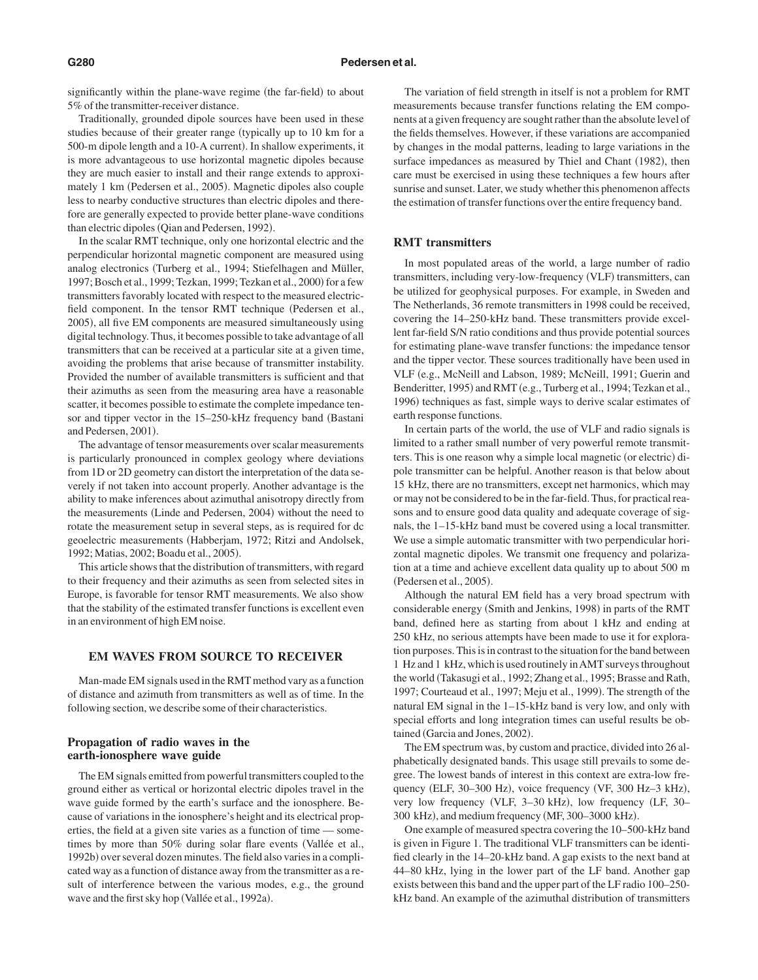significantly within the plane-wave regime (the far-field) to about 5% of the transmitter-receiver distance.

Traditionally, grounded dipole sources have been used in these studies because of their greater range (typically up to 10 km for a 500-m dipole length and a 10-A current). In shallow experiments, it is more advantageous to use horizontal magnetic dipoles because they are much easier to install and their range extends to approximately 1 km (Pedersen et al., 2005). Magnetic dipoles also couple less to nearby conductive structures than electric dipoles and therefore are generally expected to provide better plane-wave conditions than electric dipoles (Qian and Pedersen, 1992).

In the scalar RMT technique, only one horizontal electric and the perpendicular horizontal magnetic component are measured using analog electronics (Turberg et al., 1994; Stiefelhagen and Müller, 1997; Bosch et al., 1999; Tezkan, 1999; Tezkan et al., 2000) for a few transmitters favorably located with respect to the measured electricfield component. In the tensor RMT technique (Pedersen et al., 2005), all five EM components are measured simultaneously using digital technology. Thus, it becomes possible to take advantage of all transmitters that can be received at a particular site at a given time, avoiding the problems that arise because of transmitter instability. Provided the number of available transmitters is sufficient and that their azimuths as seen from the measuring area have a reasonable scatter, it becomes possible to estimate the complete impedance tensor and tipper vector in the 15–250-kHz frequency band (Bastani and Pedersen, 2001).

The advantage of tensor measurements over scalar measurements is particularly pronounced in complex geology where deviations from 1D or 2D geometry can distort the interpretation of the data severely if not taken into account properly. Another advantage is the ability to make inferences about azimuthal anisotropy directly from the measurements (Linde and Pedersen, 2004) without the need to rotate the measurement setup in several steps, as is required for dc geoelectric measurements (Habberjam, 1972; Ritzi and Andolsek, 1992; Matias, 2002; Boadu et al., 2005).

This article shows that the distribution of transmitters, with regard to their frequency and their azimuths as seen from selected sites in Europe, is favorable for tensor RMT measurements. We also show that the stability of the estimated transfer functions is excellent even in an environment of high EM noise.

#### **EM WAVES FROM SOURCE TO RECEIVER**

Man-made EM signals used in the RMT method vary as a function of distance and azimuth from transmitters as well as of time. In the following section, we describe some of their characteristics.

# **Propagation of radio waves in the earth-ionosphere wave guide**

The EM signals emitted from powerful transmitters coupled to the ground either as vertical or horizontal electric dipoles travel in the wave guide formed by the earth's surface and the ionosphere. Because of variations in the ionosphere's height and its electrical properties, the field at a given site varies as a function of time — sometimes by more than 50% during solar flare events Vallée et al., 1992b) over several dozen minutes. The field also varies in a complicated way as a function of distance away from the transmitter as a result of interference between the various modes, e.g., the ground wave and the first sky hop (Vallée et al., 1992a).

The variation of field strength in itself is not a problem for RMT measurements because transfer functions relating the EM components at a given frequency are sought rather than the absolute level of the fields themselves. However, if these variations are accompanied by changes in the modal patterns, leading to large variations in the surface impedances as measured by Thiel and Chant (1982), then care must be exercised in using these techniques a few hours after sunrise and sunset. Later, we study whether this phenomenon affects the estimation of transfer functions over the entire frequency band.

### **RMT transmitters**

In most populated areas of the world, a large number of radio transmitters, including very-low-frequency (VLF) transmitters, can be utilized for geophysical purposes. For example, in Sweden and The Netherlands, 36 remote transmitters in 1998 could be received, covering the 14–250-kHz band. These transmitters provide excellent far-field S/N ratio conditions and thus provide potential sources for estimating plane-wave transfer functions: the impedance tensor and the tipper vector. These sources traditionally have been used in VLF (e.g., McNeill and Labson, 1989; McNeill, 1991; Guerin and Benderitter, 1995) and RMT (e.g., Turberg et al., 1994; Tezkan et al., 1996) techniques as fast, simple ways to derive scalar estimates of earth response functions.

In certain parts of the world, the use of VLF and radio signals is limited to a rather small number of very powerful remote transmitters. This is one reason why a simple local magnetic (or electric) dipole transmitter can be helpful. Another reason is that below about 15 kHz, there are no transmitters, except net harmonics, which may or may not be considered to be in the far-field. Thus, for practical reasons and to ensure good data quality and adequate coverage of signals, the 1–15-kHz band must be covered using a local transmitter. We use a simple automatic transmitter with two perpendicular horizontal magnetic dipoles. We transmit one frequency and polarization at a time and achieve excellent data quality up to about 500 m (Pedersen et al., 2005).

Although the natural EM field has a very broad spectrum with considerable energy (Smith and Jenkins, 1998) in parts of the RMT band, defined here as starting from about 1 kHz and ending at 250 kHz, no serious attempts have been made to use it for exploration purposes. This is in contrast to the situation for the band between 1 Hz and 1 kHz, which is used routinely inAMT surveys throughout the world Takasugi et al., 1992; Zhang et al., 1995; Brasse and Rath, 1997; Courteaud et al., 1997; Meju et al., 1999). The strength of the natural EM signal in the 1–15-kHz band is very low, and only with special efforts and long integration times can useful results be obtained (Garcia and Jones, 2002).

The EM spectrum was, by custom and practice, divided into 26 alphabetically designated bands. This usage still prevails to some degree. The lowest bands of interest in this context are extra-low frequency (ELF, 30–300 Hz), voice frequency (VF, 300 Hz–3 kHz), very low frequency (VLF, 3-30 kHz), low frequency (LF, 30-300 kHz), and medium frequency (MF, 300–3000 kHz).

One example of measured spectra covering the 10–500-kHz band is given in Figure 1. The traditional VLF transmitters can be identified clearly in the 14–20-kHz band. A gap exists to the next band at 44–80 kHz, lying in the lower part of the LF band. Another gap exists between this band and the upper part of the LF radio 100–250 kHz band. An example of the azimuthal distribution of transmitters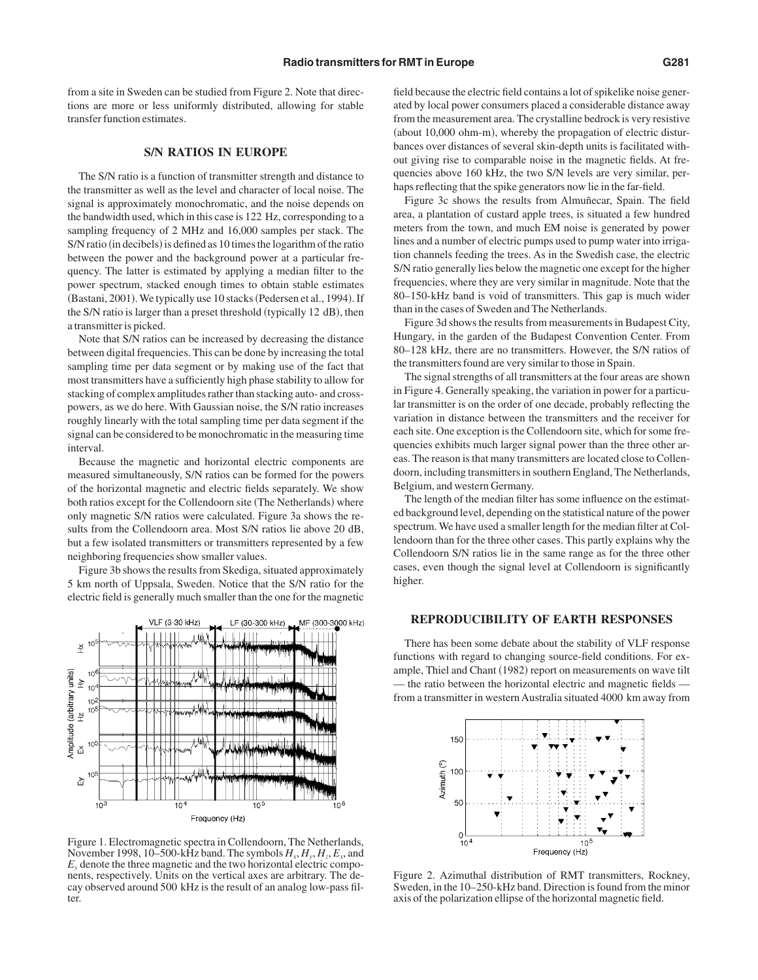from a site in Sweden can be studied from Figure 2. Note that directions are more or less uniformly distributed, allowing for stable transfer function estimates.

### **S/N RATIOS IN EUROPE**

The S/N ratio is a function of transmitter strength and distance to the transmitter as well as the level and character of local noise. The signal is approximately monochromatic, and the noise depends on the bandwidth used, which in this case is 122 Hz, corresponding to a sampling frequency of 2 MHz and 16,000 samples per stack. The S/N ratio (in decibels) is defined as 10 times the logarithm of the ratio between the power and the background power at a particular frequency. The latter is estimated by applying a median filter to the power spectrum, stacked enough times to obtain stable estimates (Bastani, 2001). We typically use 10 stacks (Pedersen et al., 1994). If the S/N ratio is larger than a preset threshold (typically 12 dB), then a transmitter is picked.

Note that S/N ratios can be increased by decreasing the distance between digital frequencies. This can be done by increasing the total sampling time per data segment or by making use of the fact that most transmitters have a sufficiently high phase stability to allow for stacking of complex amplitudes rather than stacking auto- and crosspowers, as we do here. With Gaussian noise, the S/N ratio increases roughly linearly with the total sampling time per data segment if the signal can be considered to be monochromatic in the measuring time interval.

Because the magnetic and horizontal electric components are measured simultaneously, S/N ratios can be formed for the powers of the horizontal magnetic and electric fields separately. We show both ratios except for the Collendoorn site (The Netherlands) where only magnetic S/N ratios were calculated. Figure 3a shows the results from the Collendoorn area. Most S/N ratios lie above 20 dB, but a few isolated transmitters or transmitters represented by a few neighboring frequencies show smaller values.

Figure 3b shows the results from Skediga, situated approximately 5 km north of Uppsala, Sweden. Notice that the S/N ratio for the electric field is generally much smaller than the one for the magnetic



Figure 1. Electromagnetic spectra in Collendoorn, The Netherlands, November 1998, 10–500-kHz band. The symbols  $H_x, H_y, H_z, E_y$ , and  $E<sub>y</sub>$  denote the three magnetic and the two horizontal electric components, respectively. Units on the vertical axes are arbitrary. The decay observed around 500 kHz is the result of an analog low-pass filter.

field because the electric field contains a lot of spikelike noise generated by local power consumers placed a considerable distance away from the measurement area. The crystalline bedrock is very resistive (about 10,000 ohm-m), whereby the propagation of electric disturbances over distances of several skin-depth units is facilitated without giving rise to comparable noise in the magnetic fields. At frequencies above 160 kHz, the two S/N levels are very similar, perhaps reflecting that the spike generators now lie in the far-field.

Figure 3c shows the results from Almuñecar, Spain. The field area, a plantation of custard apple trees, is situated a few hundred meters from the town, and much EM noise is generated by power lines and a number of electric pumps used to pump water into irrigation channels feeding the trees. As in the Swedish case, the electric S/N ratio generally lies below the magnetic one except for the higher frequencies, where they are very similar in magnitude. Note that the 80–150-kHz band is void of transmitters. This gap is much wider than in the cases of Sweden and The Netherlands.

Figure 3d shows the results from measurements in Budapest City, Hungary, in the garden of the Budapest Convention Center. From 80–128 kHz, there are no transmitters. However, the S/N ratios of the transmitters found are very similar to those in Spain.

The signal strengths of all transmitters at the four areas are shown in Figure 4. Generally speaking, the variation in power for a particular transmitter is on the order of one decade, probably reflecting the variation in distance between the transmitters and the receiver for each site. One exception is the Collendoorn site, which for some frequencies exhibits much larger signal power than the three other areas. The reason is that many transmitters are located close to Collendoorn, including transmitters in southern England, The Netherlands, Belgium, and western Germany.

The length of the median filter has some influence on the estimated background level, depending on the statistical nature of the power spectrum. We have used a smaller length for the median filter at Collendoorn than for the three other cases. This partly explains why the Collendoorn S/N ratios lie in the same range as for the three other cases, even though the signal level at Collendoorn is significantly higher.

# **REPRODUCIBILITY OF EARTH RESPONSES**

There has been some debate about the stability of VLF response functions with regard to changing source-field conditions. For example, Thiel and Chant (1982) report on measurements on wave tilt — the ratio between the horizontal electric and magnetic fields from a transmitter in western Australia situated 4000 km away from



Figure 2. Azimuthal distribution of RMT transmitters, Rockney, Sweden, in the 10–250-kHz band. Direction is found from the minor axis of the polarization ellipse of the horizontal magnetic field.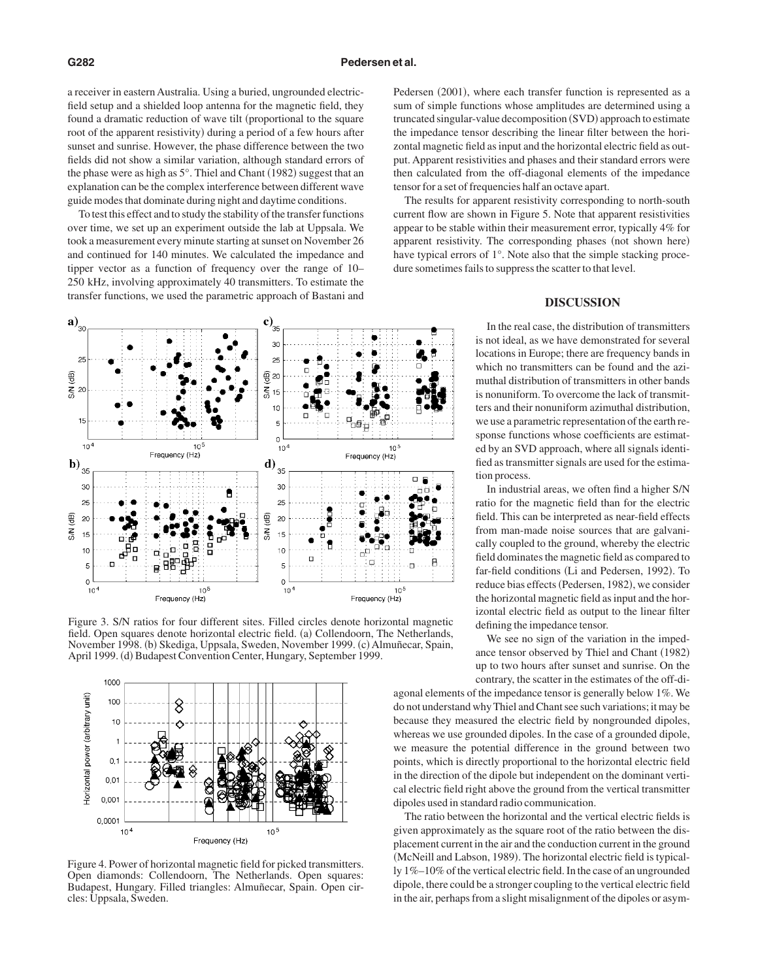a receiver in eastern Australia. Using a buried, ungrounded electricfield setup and a shielded loop antenna for the magnetic field, they found a dramatic reduction of wave tilt (proportional to the square root of the apparent resistivity) during a period of a few hours after sunset and sunrise. However, the phase difference between the two fields did not show a similar variation, although standard errors of the phase were as high as  $5^\circ$ . Thiel and Chant (1982) suggest that an explanation can be the complex interference between different wave guide modes that dominate during night and daytime conditions.

To test this effect and to study the stability of the transfer functions over time, we set up an experiment outside the lab at Uppsala. We took a measurement every minute starting at sunset on November 26 and continued for 140 minutes. We calculated the impedance and tipper vector as a function of frequency over the range of 10– 250 kHz, involving approximately 40 transmitters. To estimate the transfer functions, we used the parametric approach of Bastani and



Figure 3. S/N ratios for four different sites. Filled circles denote horizontal magnetic field. Open squares denote horizontal electric field. (a) Collendoorn, The Netherlands, November 1998. (b) Skediga, Uppsala, Sweden, November 1999. (c) Almuñecar, Spain, April 1999. (d) Budapest Convention Center, Hungary, September 1999.



Figure 4. Power of horizontal magnetic field for picked transmitters. Open diamonds: Collendoorn, The Netherlands. Open squares: Budapest, Hungary. Filled triangles: Almuñecar, Spain. Open circles: Uppsala, Sweden.

Pedersen (2001), where each transfer function is represented as a sum of simple functions whose amplitudes are determined using a truncated singular-value decomposition (SVD) approach to estimate the impedance tensor describing the linear filter between the horizontal magnetic field as input and the horizontal electric field as output. Apparent resistivities and phases and their standard errors were then calculated from the off-diagonal elements of the impedance tensor for a set of frequencies half an octave apart.

The results for apparent resistivity corresponding to north-south current flow are shown in Figure 5. Note that apparent resistivities appear to be stable within their measurement error, typically 4% for apparent resistivity. The corresponding phases (not shown here) have typical errors of 1°. Note also that the simple stacking procedure sometimes fails to suppress the scatter to that level.

## **DISCUSSION**

In the real case, the distribution of transmitters is not ideal, as we have demonstrated for several locations in Europe; there are frequency bands in which no transmitters can be found and the azimuthal distribution of transmitters in other bands is nonuniform. To overcome the lack of transmitters and their nonuniform azimuthal distribution, we use a parametric representation of the earth response functions whose coefficients are estimated by an SVD approach, where all signals identified as transmitter signals are used for the estimation process.

In industrial areas, we often find a higher S/N ratio for the magnetic field than for the electric field. This can be interpreted as near-field effects from man-made noise sources that are galvanically coupled to the ground, whereby the electric field dominates the magnetic field as compared to far-field conditions (Li and Pedersen, 1992). To reduce bias effects (Pedersen, 1982), we consider the horizontal magnetic field as input and the horizontal electric field as output to the linear filter defining the impedance tensor.

We see no sign of the variation in the impedance tensor observed by Thiel and Chant (1982) up to two hours after sunset and sunrise. On the contrary, the scatter in the estimates of the off-di-

agonal elements of the impedance tensor is generally below 1%. We do not understand why Thiel and Chant see such variations; it may be because they measured the electric field by nongrounded dipoles, whereas we use grounded dipoles. In the case of a grounded dipole, we measure the potential difference in the ground between two points, which is directly proportional to the horizontal electric field in the direction of the dipole but independent on the dominant vertical electric field right above the ground from the vertical transmitter dipoles used in standard radio communication.

The ratio between the horizontal and the vertical electric fields is given approximately as the square root of the ratio between the displacement current in the air and the conduction current in the ground (McNeill and Labson, 1989). The horizontal electric field is typically 1%–10% of the vertical electric field. In the case of an ungrounded dipole, there could be a stronger coupling to the vertical electric field in the air, perhaps from a slight misalignment of the dipoles or asym-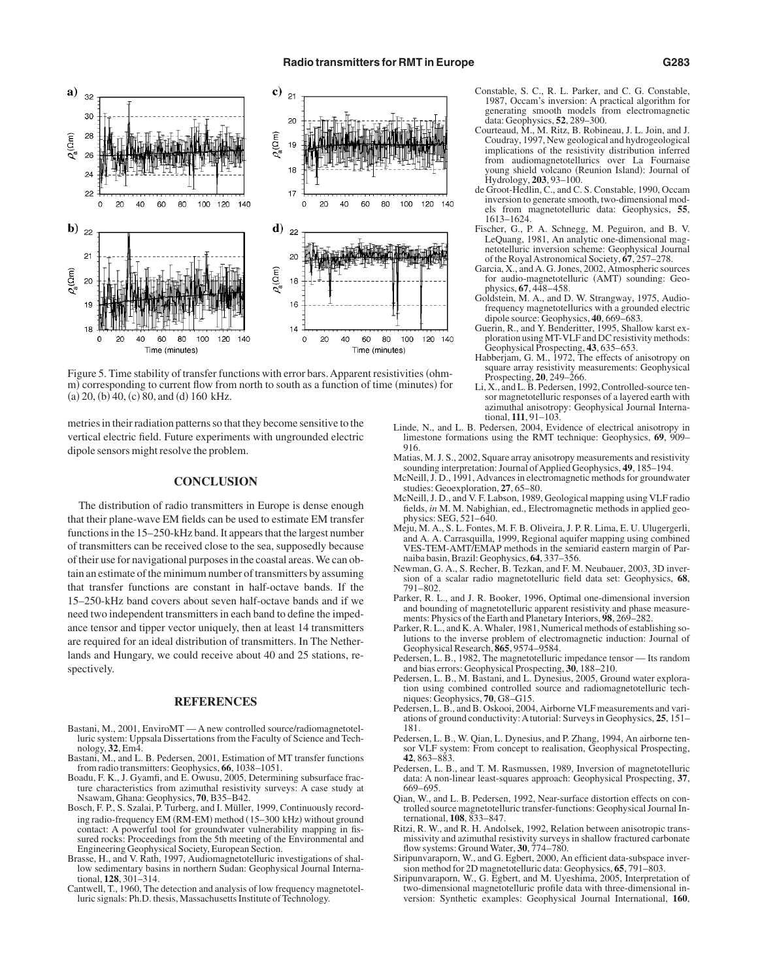

Figure 5. Time stability of transfer functions with error bars. Apparent resistivities (ohmm) corresponding to current flow from north to south as a function of time (minutes) for  $(a)$  20,  $(b)$  40,  $(c)$  80, and  $(d)$  160 kHz.

metries in their radiation patterns so that they become sensitive to the vertical electric field. Future experiments with ungrounded electric dipole sensors might resolve the problem.

### **CONCLUSION**

The distribution of radio transmitters in Europe is dense enough that their plane-wave EM fields can be used to estimate EM transfer functions in the 15–250-kHz band. It appears that the largest number of transmitters can be received close to the sea, supposedly because of their use for navigational purposes in the coastal areas. We can obtain an estimate of the minimum number of transmitters by assuming that transfer functions are constant in half-octave bands. If the 15–250-kHz band covers about seven half-octave bands and if we need two independent transmitters in each band to define the impedance tensor and tipper vector uniquely, then at least 14 transmitters are required for an ideal distribution of transmitters. In The Netherlands and Hungary, we could receive about 40 and 25 stations, respectively.

#### **REFERENCES**

- Bastani, M., 2001, EnviroMT A new controlled source/radiomagnetotelluric system: Uppsala Dissertations from the Faculty of Science and Technology, **32**, Em4.
- Bastani, M., and L. B. Pedersen, 2001, Estimation of MT transfer functions from radio transmitters: Geophysics, **66**, 1038–1051.
- Boadu, F. K., J. Gyamfi, and E. Owusu, 2005, Determining subsurface fracture characteristics from azimuthal resistivity surveys: A case study at Nsawam, Ghana: Geophysics, **70**, B35–B42.
- Bosch, F. P., S. Szalai, P. Turberg, and I. Müller, 1999, Continuously recording radio-frequency EM (RM-EM) method (15-300 kHz) without ground contact: A powerful tool for groundwater vulnerability mapping in fissured rocks: Proceedings from the 5th meeting of the Environmental and Engineering Geophysical Society, European Section.
- Brasse, H., and V. Rath, 1997, Audiomagnetotelluric investigations of shallow sedimentary basins in northern Sudan: Geophysical Journal International, **128**, 301–314.
- Cantwell, T., 1960, The detection and analysis of low frequency magnetotelluric signals: Ph.D. thesis, Massachusetts Institute of Technology.
- Constable, S. C., R. L. Parker, and C. G. Constable, 1987, Occam's inversion: A practical algorithm for generating smooth models from electromagnetic data: Geophysics, **52**, 289–300.
- Courteaud, M., M. Ritz, B. Robineau, J. L. Join, and J. Coudray, 1997, New geological and hydrogeological implications of the resistivity distribution inferred from audiomagnetotellurics over La Fournaise young shield volcano (Reunion Island): Journal of Hydrology, **203**, 93–100.
- de Groot-Hedlin, C., and C. S. Constable, 1990, Occam inversion to generate smooth, two-dimensional models from magnetotelluric data: Geophysics, **55**, 1613–1624.
- Fischer, G., P. A. Schnegg, M. Peguiron, and B. V. LeQuang, 1981, An analytic one-dimensional magnetotelluric inversion scheme: Geophysical Journal of the RoyalAstronomical Society, **67**, 257–278.
- Garcia, X., and A. G. Jones, 2002, Atmospheric sources for audio-magnetotelluric (AMT) sounding: Geophysics, **67**, 448–458.
- Goldstein, M. A., and D. W. Strangway, 1975, Audiofrequency magnetotellurics with a grounded electric dipole source: Geophysics, **40**, 669–683.
- Guerin, R., and Y. Benderitter, 1995, Shallow karst exploration using MT-VLF and DC resistivity methods: Geophysical Prospecting, **43**, 635–653.
- Habberjam, G. M., 1972, The effects of anisotropy on square array resistivity measurements: Geophysical Prospecting, **20**, 249–266.
- Li, X., and L. B. Pedersen, 1992, Controlled-source tensor magnetotelluric responses of a layered earth with azimuthal anisotropy: Geophysical Journal International, **111**, 91–103.
- Linde, N., and L. B. Pedersen, 2004, Evidence of electrical anisotropy in limestone formations using the RMT technique: Geophysics, 69, 909– 916.
- Matias, M. J. S., 2002, Square array anisotropy measurements and resistivity sounding interpretation: Journal of Applied Geophysics, 49, 185-194.
- McNeill, J. D., 1991, Advances in electromagnetic methods for groundwater studies: Geoexploration, **27**, 65–80.
- McNeill, J. D., and V. F. Labson, 1989, Geological mapping using VLF radio fields, *in* M. M. Nabighian, ed., Electromagnetic methods in applied geophysics: SEG, 521–640.
- Meju, M. A., S. L. Fontes, M. F. B. Oliveira, J. P. R. Lima, E. U. Ulugergerli, and A. A. Carrasquilla, 1999, Regional aquifer mapping using combined VES-TEM-AMT/EMAP methods in the semiarid eastern margin of Parnaiba basin, Brazil: Geophysics, **64**, 337–356.
- Newman, G. A., S. Recher, B. Tezkan, and F. M. Neubauer, 2003, 3D inversion of a scalar radio magnetotelluric field data set: Geophysics, **68**, 791–802.
- Parker, R. L., and J. R. Booker, 1996, Optimal one-dimensional inversion and bounding of magnetotelluric apparent resistivity and phase measurements: Physics of the Earth and Planetary Interiors, **98**, 269–282.
- Parker, R. L., and K. A. Whaler, 1981, Numerical methods of establishing solutions to the inverse problem of electromagnetic induction: Journal of Geophysical Research, **865**, 9574–9584.
- Pedersen, L. B., 1982, The magnetotelluric impedance tensor Its random and bias errors: Geophysical Prospecting, **30**, 188–210.
- Pedersen, L. B., M. Bastani, and L. Dynesius, 2005, Ground water exploration using combined controlled source and radiomagnetotelluric techniques: Geophysics, **70**, G8–G15.
- Pedersen, L. B., and B. Oskooi, 2004, Airborne VLF measurements and variations of ground conductivity:Atutorial: Surveys in Geophysics, **25**, 151– 181.
- Pedersen, L. B., W. Qian, L. Dynesius, and P. Zhang, 1994, An airborne tensor VLF system: From concept to realisation, Geophysical Prospecting, **42**, 863–883.
- Pedersen, L. B., and T. M. Rasmussen, 1989, Inversion of magnetotelluric data: A non-linear least-squares approach: Geophysical Prospecting, **37**, 669–695.
- Qian, W., and L. B. Pedersen, 1992, Near-surface distortion effects on controlled source magnetotelluric transfer-functions: Geophysical Journal International, **108**, 833–847.
- Ritzi, R. W., and R. H. Andolsek, 1992, Relation between anisotropic transmissivity and azimuthal resistivity surveys in shallow fractured carbonate flow systems: Ground Water, **30**, 774–780.
- Siripunvaraporn, W., and G. Egbert, 2000, An efficient data-subspace inversion method for 2D magnetotelluric data: Geophysics, **65**, 791–803.
- Siripunvaraporn, W., G. Egbert, and M. Uyeshima, 2005, Interpretation of two-dimensional magnetotelluric profile data with three-dimensional inversion: Synthetic examples: Geophysical Journal International, **160**,